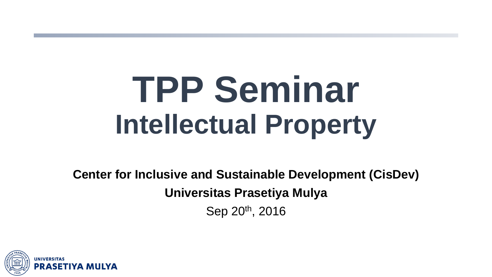# **TPP Seminar Intellectual Property**

**Center for Inclusive and Sustainable Development (CisDev) Universitas Prasetiya Mulya** Sep 20th, 2016

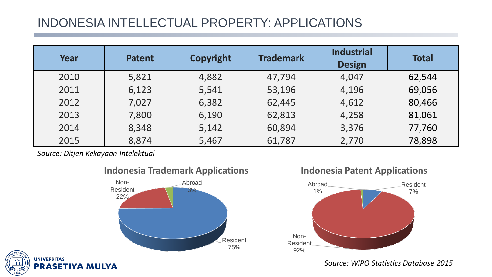## INDONESIA INTELLECTUAL PROPERTY: APPLICATIONS

| Year | <b>Patent</b> | <b>Copyright</b> | <b>Trademark</b> | <b>Industrial</b><br><b>Design</b> | <b>Total</b> |
|------|---------------|------------------|------------------|------------------------------------|--------------|
| 2010 | 5,821         | 4,882            | 47,794           | 4,047                              | 62,544       |
| 2011 | 6,123         | 5,541            | 53,196           | 4,196                              | 69,056       |
| 2012 | 7,027         | 6,382            | 62,445           | 4,612                              | 80,466       |
| 2013 | 7,800         | 6,190            | 62,813           | 4,258                              | 81,061       |
| 2014 | 8,348         | 5,142            | 60,894           | 3,376                              | 77,760       |
| 2015 | 8,874         | 5,467            | 61,787           | 2,770                              | 78,898       |

*Source: Ditjen Kekayaan Intelektual*





*Source: WIPO Statistics Database 2015*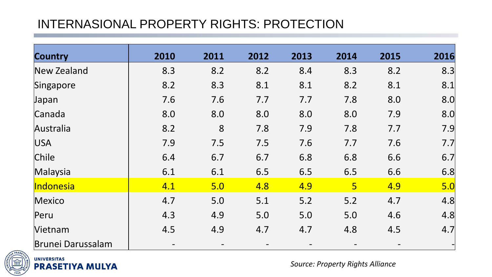## INTERNASIONAL PROPERTY RIGHTS: PROTECTION

| <b>Country</b>           | 2010 | 2011 | 2012 | 2013 | 2014           | 2015 | 2016 |
|--------------------------|------|------|------|------|----------------|------|------|
| New Zealand              | 8.3  | 8.2  | 8.2  | 8.4  | 8.3            | 8.2  | 8.3  |
| Singapore                | 8.2  | 8.3  | 8.1  | 8.1  | 8.2            | 8.1  | 8.1  |
| Japan                    | 7.6  | 7.6  | 7.7  | 7.7  | 7.8            | 8.0  | 8.0  |
| Canada                   | 8.0  | 8.0  | 8.0  | 8.0  | 8.0            | 7.9  | 8.0  |
| Australia                | 8.2  | 8    | 7.8  | 7.9  | 7.8            | 7.7  | 7.9  |
| <b>USA</b>               | 7.9  | 7.5  | 7.5  | 7.6  | 7.7            | 7.6  | 7.7  |
| Chile                    | 6.4  | 6.7  | 6.7  | 6.8  | 6.8            | 6.6  | 6.7  |
| Malaysia                 | 6.1  | 6.1  | 6.5  | 6.5  | 6.5            | 6.6  | 6.8  |
| Indonesia                | 4.1  | 5.0  | 4.8  | 4.9  | 5 <sup>1</sup> | 4.9  | 5.0  |
| Mexico                   | 4.7  | 5.0  | 5.1  | 5.2  | 5.2            | 4.7  | 4.8  |
| Peru                     | 4.3  | 4.9  | 5.0  | 5.0  | 5.0            | 4.6  | 4.8  |
| Vietnam                  | 4.5  | 4.9  | 4.7  | 4.7  | 4.8            | 4.5  | 4.7  |
| <b>Brunei Darussalam</b> |      |      |      |      |                |      |      |



**UNIVERSITAS PRASETIYA MULYA** 

*Source: Property Rights Alliance*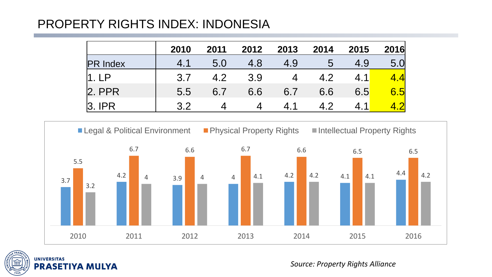## PROPERTY RIGHTS INDEX: INDONESIA

|                 | 2010 | 2011 | 2012 | 2013           | 2014 | 2015 | 2016             |
|-----------------|------|------|------|----------------|------|------|------------------|
| <b>PR Index</b> | 4.1  | 5.0  | 4.8  | 4.9            | b    | 4.9  | 5.0 <sub>l</sub> |
| $\Box$          | 3.7  | 4.2  | 3.9  | $\overline{4}$ | 4.2  |      | <u> 41</u>       |
| $2.$ PPR        | 5.5  | 6.7  | 6.6  | 6.7            | 6.6  | 6.5  | 6.5              |
| ְרִי            | 3.2  |      |      | 41             | 49   | 4.1  |                  |





*Source: Property Rights Alliance*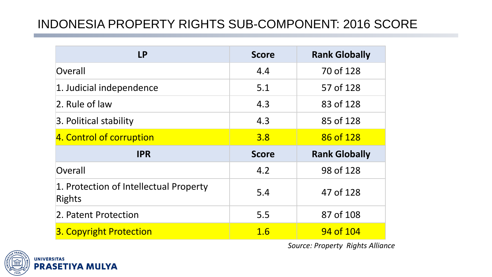## INDONESIA PROPERTY RIGHTS SUB-COMPONENT: 2016 SCORE

| <b>LP</b>                                               | <b>Score</b> | <b>Rank Globally</b> |
|---------------------------------------------------------|--------------|----------------------|
| Overall                                                 | 4.4          | 70 of 128            |
| 1. Judicial independence                                | 5.1          | 57 of 128            |
| 2. Rule of law                                          | 4.3          | 83 of 128            |
| 3. Political stability                                  | 4.3          | 85 of 128            |
| 4. Control of corruption                                | 3.8          | 86 of 128            |
|                                                         |              |                      |
| <b>IPR</b>                                              | <b>Score</b> | <b>Rank Globally</b> |
| Overall                                                 | 4.2          | 98 of 128            |
| 1. Protection of Intellectual Property<br><b>Rights</b> | 5.4          | 47 of 128            |
| 2. Patent Protection                                    | 5.5          | 87 of 108            |

*Source: Property Rights Alliance*

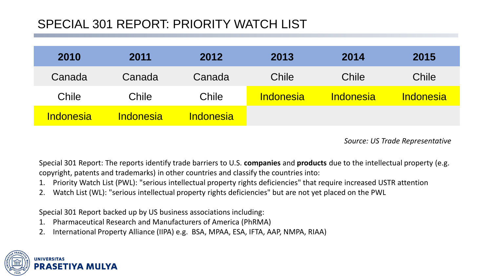## SPECIAL 301 REPORT: PRIORITY WATCH LIST

| 2010      | 2011             | 2012             | 2013             | 2014             | 2015             |
|-----------|------------------|------------------|------------------|------------------|------------------|
| Canada    | Canada           | Canada           | Chile            | Chile            | Chile            |
| Chile     | Chile            | Chile            | <b>Indonesia</b> | <b>Indonesia</b> | <i>Indonesia</i> |
| Indonesia | <b>Indonesia</b> | <b>Indonesia</b> |                  |                  |                  |

*Source: US Trade Representative*

Special 301 Report: The reports identify trade barriers to U.S. **companies** and **products** due to the intellectual property (e.g. copyright, patents and trademarks) in other countries and classify the countries into:

- 1. Priority Watch List (PWL): "serious intellectual property rights deficiencies" that require increased USTR attention
- 2. Watch List (WL): "serious intellectual property rights deficiencies" but are not yet placed on the PWL

Special 301 Report backed up by US business associations including:

- 1. Pharmaceutical Research and Manufacturers of America (PhRMA)
- 2. International Property Alliance (IIPA) e.g. BSA, MPAA, ESA, IFTA, AAP, NMPA, RIAA)

**UNIVERSITAS**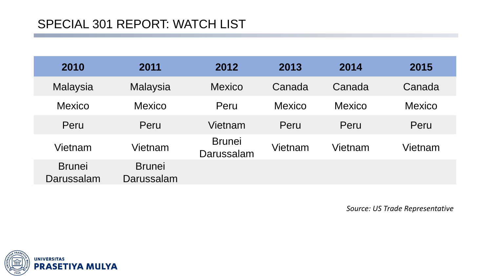| 2010                        | 2011                        | 2012                        | 2013          | 2014          | 2015          |
|-----------------------------|-----------------------------|-----------------------------|---------------|---------------|---------------|
| <b>Malaysia</b>             | Malaysia                    | <b>Mexico</b>               | Canada        | Canada        | Canada        |
| <b>Mexico</b>               | <b>Mexico</b>               | Peru                        | <b>Mexico</b> | <b>Mexico</b> | <b>Mexico</b> |
| Peru                        | Peru                        | Vietnam                     | Peru          | Peru          | Peru          |
| Vietnam                     | Vietnam                     | <b>Brunei</b><br>Darussalam | Vietnam       | Vietnam       | Vietnam       |
| <b>Brunei</b><br>Darussalam | <b>Brunei</b><br>Darussalam |                             |               |               |               |

*Source: US Trade Representative*

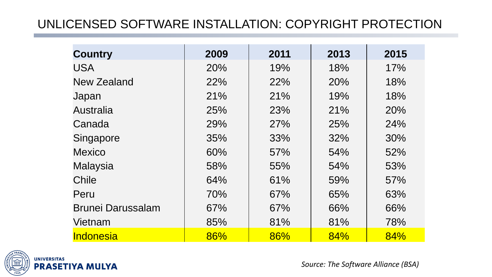## UNLICENSED SOFTWARE INSTALLATION: COPYRIGHT PROTECTION

| <b>Country</b>           | 2009 | 2011 | 2013 | 2015 |
|--------------------------|------|------|------|------|
| <b>USA</b>               | 20%  | 19%  | 18%  | 17%  |
| New Zealand              | 22%  | 22%  | 20%  | 18%  |
| Japan                    | 21%  | 21%  | 19%  | 18%  |
| Australia                | 25%  | 23%  | 21%  | 20%  |
| Canada                   | 29%  | 27%  | 25%  | 24%  |
| Singapore                | 35%  | 33%  | 32%  | 30%  |
| <b>Mexico</b>            | 60%  | 57%  | 54%  | 52%  |
| <b>Malaysia</b>          | 58%  | 55%  | 54%  | 53%  |
| Chile                    | 64%  | 61%  | 59%  | 57%  |
| Peru                     | 70%  | 67%  | 65%  | 63%  |
| <b>Brunei Darussalam</b> | 67%  | 67%  | 66%  | 66%  |
| Vietnam                  | 85%  | 81%  | 81%  | 78%  |
| Indonesia                | 86%  | 86%  | 84%  | 84%  |



*Source: The Software Alliance (BSA)*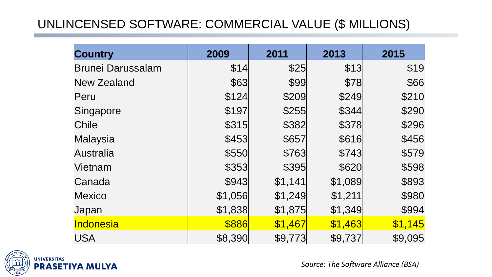## UNLINCENSED SOFTWARE: COMMERCIAL VALUE (\$ MILLIONS)

| <b>Country</b>           | 2009    | 2011    | 2013    | 2015    |
|--------------------------|---------|---------|---------|---------|
| <b>Brunei Darussalam</b> | \$14    | \$25    | \$13    | \$19    |
| <b>New Zealand</b>       | \$63    | \$99    | \$78    | \$66    |
| Peru                     | \$124   | \$209   | \$249   | \$210   |
| Singapore                | \$197   | \$255   | \$344   | \$290   |
| Chile                    | \$315   | \$382   | \$378   | \$296   |
| <b>Malaysia</b>          | \$453   | \$657   | \$616   | \$456   |
| <b>Australia</b>         | \$550   | \$763   | \$743   | \$579   |
| Vietnam                  | \$353   | \$395   | \$620   | \$598   |
| Canada                   | \$943   | \$1,141 | \$1,089 | \$893   |
| <b>Mexico</b>            | \$1,056 | \$1,249 | \$1,211 | \$980   |
| Japan                    | \$1,838 | \$1,875 | \$1,349 | \$994   |
| Indonesia                | \$886   | \$1,467 | \$1,463 | \$1,145 |
| <b>USA</b>               | \$8,390 | \$9,773 | \$9,737 | \$9,095 |



*Source: The Software Alliance (BSA)*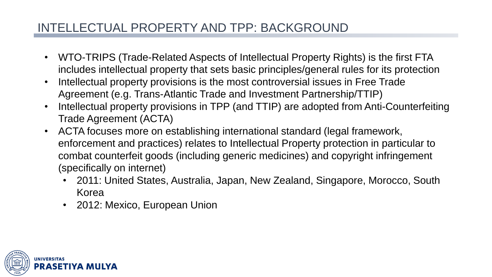## INTELLECTUAL PROPERTY AND TPP: BACKGROUND

- WTO-TRIPS (Trade-Related Aspects of Intellectual Property Rights) is the first FTA includes intellectual property that sets basic principles/general rules for its protection
- Intellectual property provisions is the most controversial issues in Free Trade Agreement (e.g. Trans-Atlantic Trade and Investment Partnership/TTIP)
- Intellectual property provisions in TPP (and TTIP) are adopted from Anti-Counterfeiting Trade Agreement (ACTA)
- ACTA focuses more on establishing international standard (legal framework, enforcement and practices) relates to Intellectual Property protection in particular to combat counterfeit goods (including generic medicines) and copyright infringement (specifically on internet)
	- 2011: United States, Australia, Japan, New Zealand, Singapore, Morocco, South Korea
	- 2012: Mexico, European Union

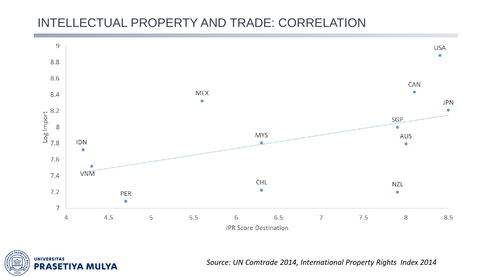## INTELLECTUAL PROPERTY AND TRADE: CORRELATION



**UNIVERSITAS PRASETIYA MULYA** 

*Source: UN Comtrade 2014, International Property Rights Index 2014*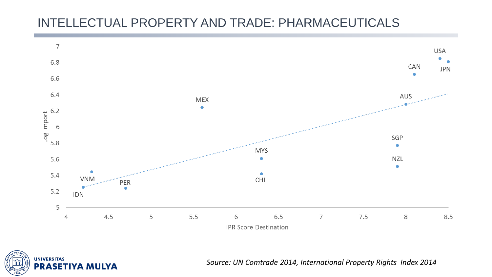## INTELLECTUAL PROPERTY AND TRADE: PHARMACEUTICALS





*Source: UN Comtrade 2014, International Property Rights Index 2014*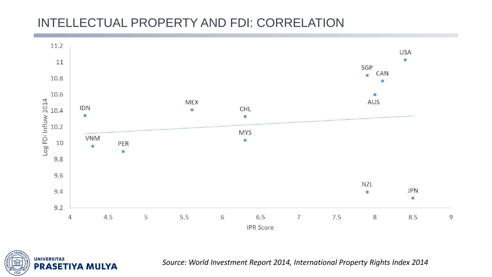## INTELLECTUAL PROPERTY AND FDI: CORRELATION



**UNIVERSITAS PRASETIYA MULYA** 

*Source: World Investment Report 2014, International Property Rights Index 2014*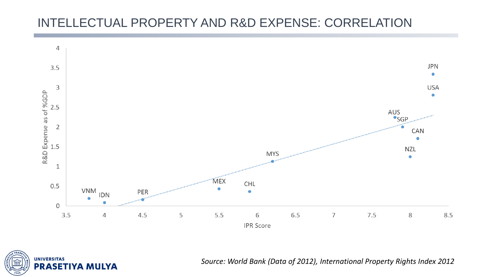## INTELLECTUAL PROPERTY AND R&D EXPENSE: CORRELATION





*Source: World Bank (Data of 2012), International Property Rights Index 2012*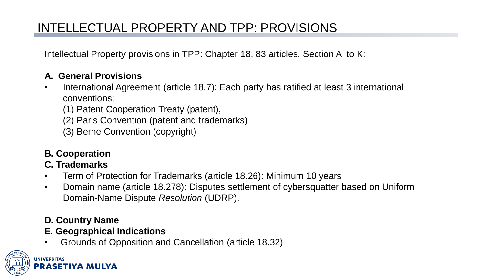Intellectual Property provisions in TPP: Chapter 18, 83 articles, Section A to K:

#### **A. General Provisions**

- International Agreement (article 18.7): Each party has ratified at least 3 international conventions:
	- (1) Patent Cooperation Treaty (patent),
	- (2) Paris Convention (patent and trademarks)
	- (3) Berne Convention (copyright)
- **B. Cooperation**

#### **C. Trademarks**

- Term of Protection for Trademarks (article 18.26): Minimum 10 years
- Domain name (article 18.278): Disputes settlement of cybersquatter based on Uniform Domain-Name Dispute *Resolution* (UDRP).

#### **D. Country Name**

- **E. Geographical Indications**
- Grounds of Opposition and Cancellation (article 18.32)

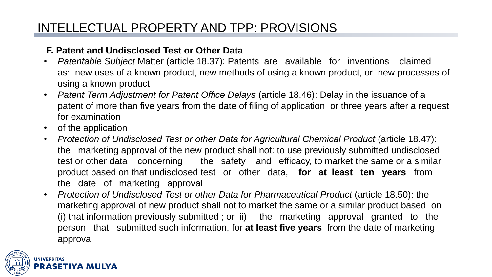#### **F. Patent and Undisclosed Test or Other Data**

- *Patentable Subject* Matter (article 18.37): Patents are available for inventions claimed as: new uses of a known product, new methods of using a known product, or new processes of using a known product
- *Patent Term Adjustment for Patent Office Delays* (article 18.46): Delay in the issuance of a patent of more than five years from the date of filing of application or three years after a request for examination
- of the application
- *Protection of Undisclosed Test or other Data for Agricultural Chemical Product* (article 18.47): the marketing approval of the new product shall not: to use previously submitted undisclosed test or other data concerning the safety and efficacy, to market the same or a similar product based on that undisclosed test or other data, **for at least ten years** from the date of marketing approval
- *Protection of Undisclosed Test or other Data for Pharmaceutical Product* (article 18.50): the marketing approval of new product shall not to market the same or a similar product based on (i) that information previously submitted ; or ii) the marketing approval granted to the person that submitted such information, for **at least five years** from the date of marketing approval

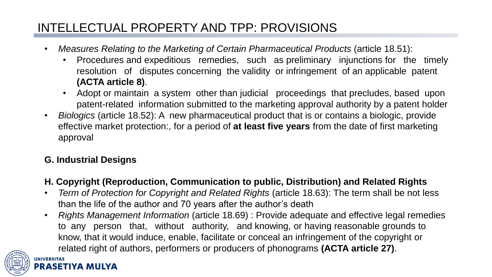- *Measures Relating to the Marketing of Certain Pharmaceutical Products* (article 18.51):
	- Procedures and expeditious remedies, such as preliminary injunctions for the timely resolution of disputes concerning the validity or infringement of an applicable patent **(ACTA article 8)**.
	- Adopt or maintain a system other than judicial proceedings that precludes, based upon patent-related information submitted to the marketing approval authority by a patent holder
- *Biologics* (article 18.52): A new pharmaceutical product that is or contains a biologic, provide effective market protection:, for a period of **at least five years** from the date of first marketing approval

#### **G. Industrial Designs**

#### **H. Copyright (Reproduction, Communication to public, Distribution) and Related Rights**

- *Term of Protection for Copyright and Related Rights* (article 18.63): The term shall be not less than the life of the author and 70 years after the author's death
- *Rights Management Information* (article 18.69) : Provide adequate and effective legal remedies to any person that, without authority, and knowing, or having reasonable grounds to know, that it would induce, enable, facilitate or conceal an infringement of the copyright or related right of authors, performers or producers of phonograms **(ACTA article 27)**.

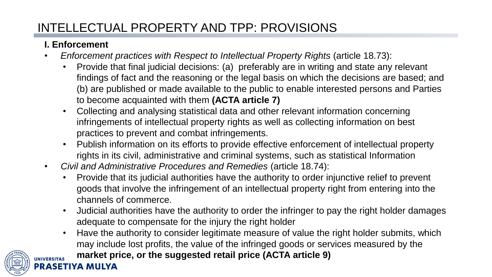#### **I. Enforcement**

- *Enforcement practices with Respect to Intellectual Property Rights* (article 18.73):
	- Provide that final judicial decisions: (a) preferably are in writing and state any relevant findings of fact and the reasoning or the legal basis on which the decisions are based; and (b) are published or made available to the public to enable interested persons and Parties to become acquainted with them **(ACTA article 7)**
	- Collecting and analysing statistical data and other relevant information concerning infringements of intellectual property rights as well as collecting information on best practices to prevent and combat infringements.
	- Publish information on its efforts to provide effective enforcement of intellectual property rights in its civil, administrative and criminal systems, such as statistical Information
- *Civil and Administrative Procedures and Remedies* (article 18.74):
	- Provide that its judicial authorities have the authority to order injunctive relief to prevent goods that involve the infringement of an intellectual property right from entering into the channels of commerce.
	- Judicial authorities have the authority to order the infringer to pay the right holder damages adequate to compensate for the injury the right holder
	- Have the authority to consider legitimate measure of value the right holder submits, which may include lost profits, the value of the infringed goods or services measured by the

**market price, or the suggested retail price (ACTA article 9)**

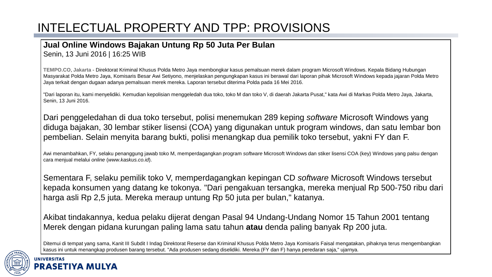#### **Jual Online Windows Bajakan Untung Rp 50 Juta Per Bulan**

Senin, 13 Juni 2016 | 16:25 WIB

**TEMPO.CO**, **Jakarta** - Direktorat Kriminal Khusus Polda Metro Jaya membongkar kasus pemalsuan merek dalam program Microsoft Windows. Kepala Bidang Hubungan Masyarakat Polda Metro Jaya, Komisaris Besar Awi Setiyono, menjelaskan pengungkapan kasus ini berawal dari laporan pihak Microsoft Windows kepada jajaran Polda Metro Jaya terkait dengan dugaan adanya pemalsuan merek mereka. Laporan tersebut diterima Polda pada 16 Mei 2016.

"Dari laporan itu, kami menyelidiki. Kemudian kepolisian menggeledah dua toko, toko M dan toko V, di daerah Jakarta Pusat," kata Awi di Markas Polda Metro Jaya, Jakarta, Senin, 13 Juni 2016.

Dari penggeledahan di dua toko tersebut, polisi menemukan 289 keping *software* Microsoft Windows yang diduga bajakan, 30 lembar stiker lisensi (COA) yang digunakan untuk program windows, dan satu lembar bon pembelian. Selain menyita barang bukti, polisi menangkap dua pemilik toko tersebut, yakni FY dan F.

Awi menambahkan, FY, selaku penanggung jawab toko M, memperdagangkan program *software* Microsoft Windows dan stiker lisensi COA (key) Windows yang palsu dengan cara menjual melalui *online* (*www.kaskus.co.id*).

Sementara F, selaku pemilik toko V, memperdagangkan kepingan CD *software* Microsoft Windows tersebut kepada konsumen yang datang ke tokonya. "Dari pengakuan tersangka, mereka menjual Rp 500-750 ribu dari harga asli Rp 2,5 juta. Mereka meraup untung Rp 50 juta per bulan," katanya.

Akibat tindakannya, kedua pelaku dijerat dengan Pasal 94 Undang-Undang Nomor 15 Tahun 2001 tentang Merek dengan pidana kurungan paling lama satu tahun **atau** denda paling banyak Rp 200 juta.

Ditemui di tempat yang sama, Kanit III Subdit I Indag Direktorat Reserse dan Kriminal Khusus Polda Metro Jaya Komisaris Faisal mengatakan, pihaknya terus mengembangkan kasus ini untuk menangkap produsen barang tersebut. "Ada produsen sedang diselidiki. Mereka (FY dan F) hanya peredaran saja," ujarnya.

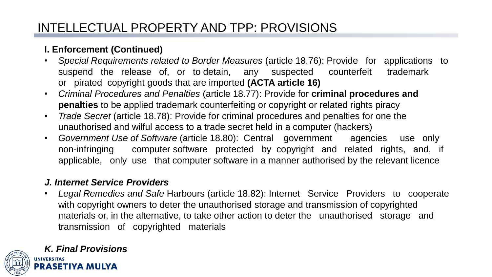#### **I. Enforcement (Continued)**

- *Special Requirements related to Border Measures* (article 18.76): Provide for applications to suspend the release of, or to detain, any suspected counterfeit trademark or pirated copyright goods that are imported **(ACTA article 16)**
- *Criminal Procedures and Penalties* (article 18.77): Provide for **criminal procedures and penalties** to be applied trademark counterfeiting or copyright or related rights piracy
- *Trade Secret* (article 18.78): Provide for criminal procedures and penalties for one the unauthorised and wilful access to a trade secret held in a computer (hackers)
- *Government Use of Software* (article 18.80): Central government agencies use only non-infringing computer software protected by copyright and related rights, and, if applicable, only use that computer software in a manner authorised by the relevant licence

#### *J. Internet Service Providers*

• *Legal Remedies and Safe* Harbours (article 18.82): Internet Service Providers to cooperate with copyright owners to deter the unauthorised storage and transmission of copyrighted materials or, in the alternative, to take other action to deter the unauthorised storage and transmission of copyrighted materials



## *K. Final Provisions*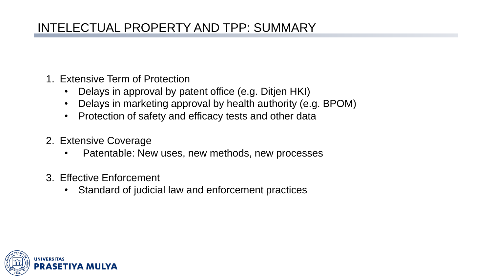## INTELECTUAL PROPERTY AND TPP: SUMMARY

- 1. Extensive Term of Protection
	- Delays in approval by patent office (e.g. Ditjen HKI)
	- Delays in marketing approval by health authority (e.g. BPOM)
	- Protection of safety and efficacy tests and other data
- 2. Extensive Coverage
	- Patentable: New uses, new methods, new processes
- 3. Effective Enforcement
	- Standard of judicial law and enforcement practices

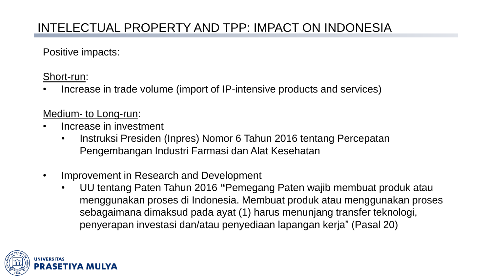Positive impacts:

Short-run:

• Increase in trade volume (import of IP-intensive products and services)

#### Medium- to Long-run:

- Increase in investment
	- Instruksi Presiden (Inpres) Nomor 6 Tahun 2016 tentang Percepatan Pengembangan Industri Farmasi dan Alat Kesehatan
- Improvement in Research and Development
	- UU tentang Paten Tahun 2016 **"**Pemegang Paten wajib membuat produk atau menggunakan proses di Indonesia. Membuat produk atau menggunakan proses sebagaimana dimaksud pada ayat (1) harus menunjang transfer teknologi, penyerapan investasi dan/atau penyediaan lapangan kerja" (Pasal 20)

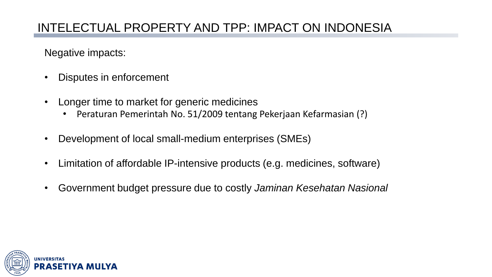Negative impacts:

- Disputes in enforcement
- Longer time to market for generic medicines
	- Peraturan Pemerintah No. 51/2009 tentang Pekerjaan Kefarmasian (?)
- Development of local small-medium enterprises (SMEs)
- Limitation of affordable IP-intensive products (e.g. medicines, software)
- Government budget pressure due to costly *Jaminan Kesehatan Nasional*

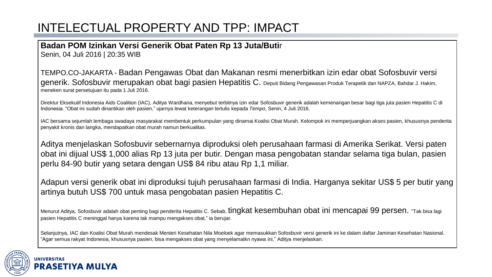## INTELECTUAL PROPERTY AND TPP: IMPACT

#### **Badan POM Izinkan Versi Generik Obat Paten Rp 13 Juta/Buti**r

Senin, 04 Juli 2016 | 20:35 WIB

TEMPO.CO-JAKARTA - Badan Pengawas Obat dan Makanan resmi menerbitkan izin edar obat Sofosbuvir versi generik. Sofosbuvir merupakan obat bagi pasien Hepatitis C. Deputi Bidang Pengawasan Produk Terapetik dan NAPZA, Bahdar J. Hakim, meneken surat persetujuan itu pada 1 Juli 2016.

Direktur Eksekutif Indonesia Aids Coalition (IAC), Aditya Wardhana, menyebut terbitnya izin edar Sofosbuvir generik adalah kemenangan besar bagi tiga juta pasien Hepatitis C di Indonesia. "Obat ini sudah dinantikan oleh pasien," ujarnya lewat keterangan tertulis kepada *Tempo*, Senin, 4 Juli 2016.

IAC bersama sejumlah lembaga swadaya masyarakat membentuk perkumpulan yang dinamai Koalisi Obat Murah. Kelompok ini memperjuangkan akses pasien, khususnya penderita penyakit kronis dan langka, mendapatkan obat murah namun berkualitas.

Aditya menjelaskan Sofosbuvir sebernarnya diproduksi oleh perusahaan farmasi di Amerika Serikat. Versi paten obat ini dijual US\$ 1,000 alias Rp 13 juta per butir. Dengan masa pengobatan standar selama tiga bulan, pasien perlu 84-90 butir yang setara dengan US\$ 84 ribu atau Rp 1,1 miliar.

Adapun versi generik obat ini diproduksi tujuh perusahaan farmasi di India. Harganya sekitar US\$ 5 per butir yang artinya butuh US\$ 700 untuk masa pengobatan pasien Hepatitis C.

Menurut Aditya, Sofosbuvir adalah obat penting bagi penderita Hepatitis C. Sebab, tingkat kesembuhan obat ini mencapai 99 persen. "Tak bisa lagi pasien Hepatitis C meninggal hanya karena tak mampu mengakses obat," ia berujar.

Selanjutnya, IAC dan Koalisi Obat Murah mendesak Menteri Kesehatan Nila Moeloek agar memasukkan Sofosbuvir versi generik ini ke dalam daftar Jaminan Kesehatan Nasional. "Agar semua rakyat Indonesia, khususnya pasien, bisa mengakses obat yang menyelamatkn nyawa ini," Aditya menjelaskan.



#### **UNIVERSITAS** PRASETI